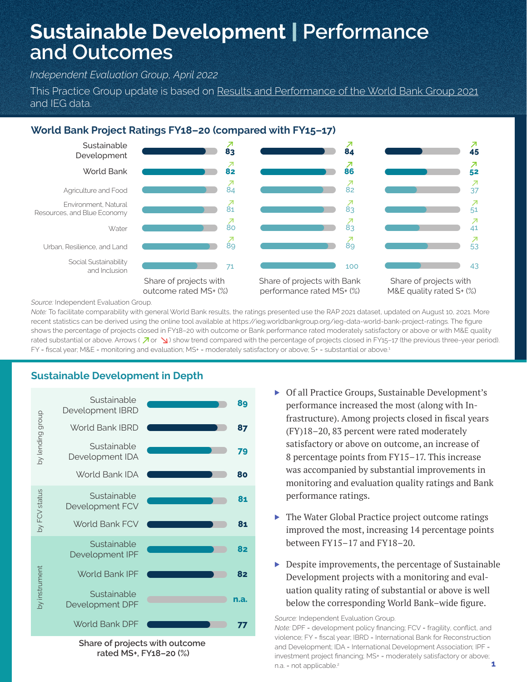# **Sustainable Development** | **Performance and Outcomes**

*Independent Evaluation Group, April 2022*

This Practice Group update is based on Results and Performance of the World Bank Group 2021 and IEG data.

## **World Bank Project Ratings FY18–20 (compared with FY15–17)**



*Source:* Independent Evaluation Group.

*Note:* To facilitate comparability with general World Bank results, the ratings presented use the RAP 2021 dataset, updated on August 10, 2021. More recent statistics can be derived using the online tool available at https://ieg.worldbankgroup.org/ieg-data-world-bank-project-ratings. The figure shows the percentage of projects closed in FY18–20 with outcome or Bank performance rated moderately satisfactory or above or with M&E quality rated substantial or above. Arrows ( $\overline{A}$  or  $\overline{B}$ ) show trend compared with the percentage of projects closed in FY15-17 (the previous three-year period). FY = fiscal year; M&E = monitoring and evaluation; MS+ = moderately satisfactory or above; S+ = substantial or above.<sup>1</sup>

# **Sustainable Development in Depth**



**Share of projects with outcome rated MS+, FY18–20 (%)**

- ▶ Of all Practice Groups, Sustainable Development's performance increased the most (along with Infrastructure). Among projects closed in fiscal years (FY)18–20, 83 percent were rated moderately satisfactory or above on outcome, an increase of 8 percentage points from FY15–17. This increase was accompanied by substantial improvements in monitoring and evaluation quality ratings and Bank performance ratings.
- ▶ The Water Global Practice project outcome ratings improved the most, increasing 14 percentage points between FY15–17 and FY18–20.
- ▶ Despite improvements, the percentage of Sustainable Development projects with a monitoring and evaluation quality rating of substantial or above is well below the corresponding World Bank–wide figure.

*Source:* Independent Evaluation Group.

*Note: DPF* = development policy financing; FCV = fragility, conflict, and violence; FY = fiscal year; IBRD = International Bank for Reconstruction and Development; IDA = International Development Association; IPF = investment project financing; MS+ = moderately satisfactory or above; n.a. = not applicable.<sup>2</sup>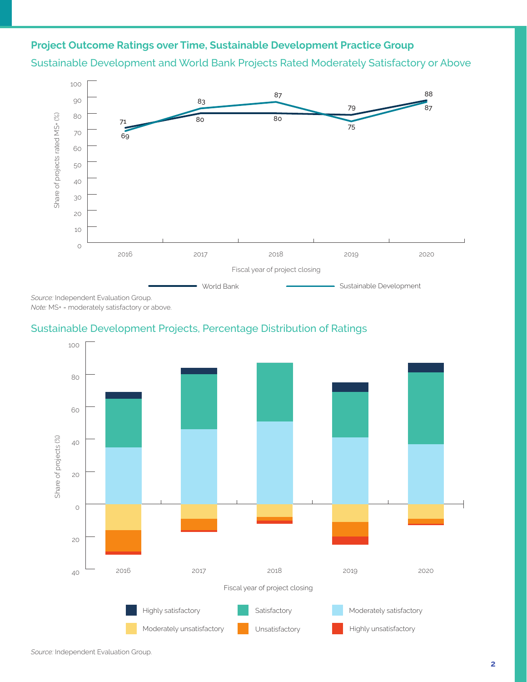# **Project Outcome Ratings over Time, Sustainable Development Practice Group**





*Note:* MS+ = moderately satisfactory or above.

## Sustainable Development Projects, Percentage Distribution of Ratings

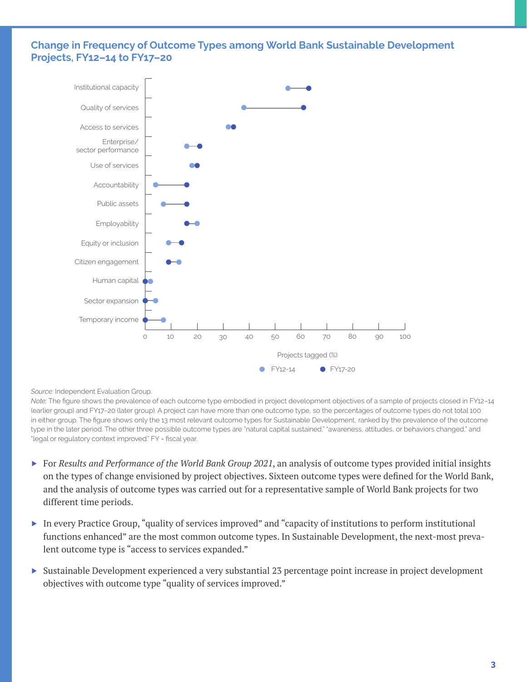### **Change in Frequency of Outcome Types among World Bank Sustainable Development Projects, FY12–14 to FY17–20**



*Source:* Independent Evaluation Group.

*Note:* The figure shows the prevalence of each outcome type embodied in project development objectives of a sample of projects closed in FY12–14 (earlier group) and FY17–20 (later group). A project can have more than one outcome type, so the percentages of outcome types do not total 100 in either group. The figure shows only the 13 most relevant outcome types for Sustainable Development, ranked by the prevalence of the outcome type in the later period. The other three possible outcome types are "natural capital sustained," "awareness, attitudes, or behaviors changed," and "legal or regulatory context improved." FY = fiscal year.

- ▶ For *Results and Performance of the World Bank Group 2021*, an analysis of outcome types provided initial insights on the types of change envisioned by project objectives. Sixteen outcome types were defined for the World Bank, and the analysis of outcome types was carried out for a representative sample of World Bank projects for two different time periods.
- ▶ In every Practice Group, "quality of services improved" and "capacity of institutions to perform institutional functions enhanced" are the most common outcome types. In Sustainable Development, the next-most prevalent outcome type is "access to services expanded."
- ▶ Sustainable Development experienced a very substantial 23 percentage point increase in project development objectives with outcome type "quality of services improved."